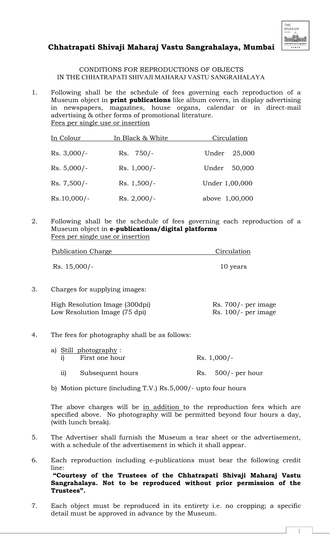

1

## **Chhatrapati Shivaji Maharaj Vastu Sangrahalaya, Mumbai**

CONDITIONS FOR REPRODUCTIONS OF OBJECTS IN THE CHHATRAPATI SHIVAJI MAHARAJ VASTU SANGRAHALAYA

1. Following shall be the schedule of fees governing each reproduction of a Museum object in **print publications** like album covers, in display advertising in newspapers, magazines, house organs, calendar or in direct-mail advertising & other forms of promotional literature. Fees per single use or insertion

| In Colour     | In Black & White | Circulation     |
|---------------|------------------|-----------------|
| $Rs. 3,000/-$ | $Rs. 750/-$      | 25,000<br>Under |
| $Rs. 5,000/-$ | $Rs. 1,000/-$    | 50,000<br>Under |
| $Rs. 7,500/-$ | $Rs. 1,500/-$    | Under 1,00,000  |
| $Rs.10,000/-$ | $Rs. 2,000/-$    | above 1,00,000  |

2. Following shall be the schedule of fees governing each reproduction of a Museum object in **e-publications/digital platforms** Fees per single use or insertion

| Publication Charge | Circulation |
|--------------------|-------------|
| $Rs. 15,000/-$     | 10 years    |

3. Charges for supplying images:

| High Resolution Image (300dpi) | $Rs. 700/-$ per image |
|--------------------------------|-----------------------|
| Low Resolution Image (75 dpi)  | Rs. $100$ - per image |

4. The fees for photography shall be as follows:

| a) Still photography : |                      |  |                      |
|------------------------|----------------------|--|----------------------|
| 1                      | First one hour       |  | $Rs. 1,000/-$        |
|                        | ii) Subsequent hours |  | $Rs. 500/-$ per hour |

b) Motion picture (including T.V.) Rs.5,000/- upto four hours

The above charges will be in addition to the reproduction fees which are specified above. No photography will be permitted beyond four hours a day, (with lunch break).

- 5. The Advertiser shall furnish the Museum a tear sheet or the advertisement, with a schedule of the advertisement in which it shall appear.
- 6. Each reproduction including e-publications must bear the following credit line: **"Courtesy of the Trustees of the Chhatrapati Shivaji Maharaj Vastu Sangrahalaya. Not to be reproduced without prior permission of the Trustees".**
- 7. Each object must be reproduced in its entirety i.e. no cropping; a specific detail must be approved in advance by the Museum.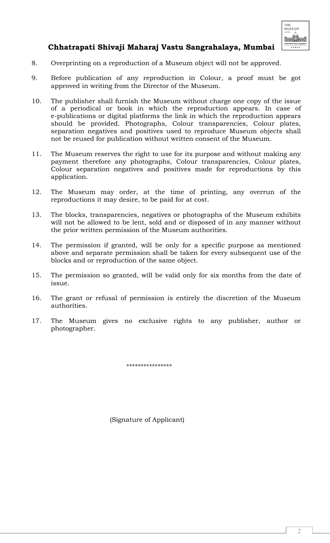

## **Chhatrapati Shivaji Maharaj Vastu Sangrahalaya, Mumbai**

- 8. Overprinting on a reproduction of a Museum object will not be approved.
- 9. Before publication of any reproduction in Colour, a proof must be got approved in writing from the Director of the Museum.
- 10. The publisher shall furnish the Museum without charge one copy of the issue of a periodical or book in which the reproduction appears. In case of e-publications or digital platforms the link in which the reproduction appears should be provided. Photographs, Colour transparencies, Colour plates, separation negatives and positives used to reproduce Museum objects shall not be reused for publication without written consent of the Museum.
- 11. The Museum reserves the right to use for its purpose and without making any payment therefore any photographs, Colour transparencies, Colour plates, Colour separation negatives and positives made for reproductions by this application.
- 12. The Museum may order, at the time of printing, any overrun of the reproductions it may desire, to be paid for at cost.
- 13. The blocks, transparencies, negatives or photographs of the Museum exhibits will not be allowed to be lent, sold and or disposed of in any manner without the prior written permission of the Museum authorities.
- 14. The permission if granted, will be only for a specific purpose as mentioned above and separate permission shall be taken for every subsequent use of the blocks and or reproduction of the same object.
- 15. The permission so granted, will be valid only for six months from the date of issue.
- 16. The grant or refusal of permission is entirely the discretion of the Museum authorities.
- 17. The Museum gives no exclusive rights to any publisher, author or photographer.

\*\*\*\*\*\*\*\*\*\*\*\*\*\*\*\*

(Signature of Applicant)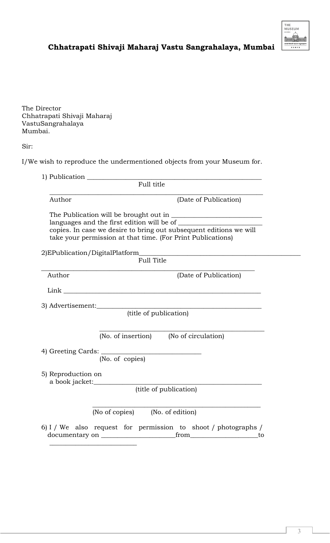

## **Chhatrapati Shivaji Maharaj Vastu Sangrahalaya, Mumbai**

The Director Chhatrapati Shivaji Maharaj VastuSangrahalaya Mumbai.

Sir:

I/We wish to reproduce the undermentioned objects from your Museum for.

| 1) Publication                       |                                                                                                                                   |  |
|--------------------------------------|-----------------------------------------------------------------------------------------------------------------------------------|--|
|                                      | Full title                                                                                                                        |  |
| Author                               | (Date of Publication)                                                                                                             |  |
|                                      | copies. In case we desire to bring out subsequent editions we will<br>take your permission at that time. (For Print Publications) |  |
|                                      |                                                                                                                                   |  |
|                                      | Full Title                                                                                                                        |  |
| Author                               | (Date of Publication)                                                                                                             |  |
|                                      |                                                                                                                                   |  |
|                                      | 3) Advertisement: (title of publication)                                                                                          |  |
|                                      | (No. of insertion) (No of circulation)                                                                                            |  |
|                                      | (No. of copies)                                                                                                                   |  |
| 5) Reproduction on<br>a book jacket: |                                                                                                                                   |  |
|                                      | (title of publication)                                                                                                            |  |
|                                      | (No of copies) (No. of edition)                                                                                                   |  |
|                                      | 6) I / We also request for permission to shoot / photographs /                                                                    |  |